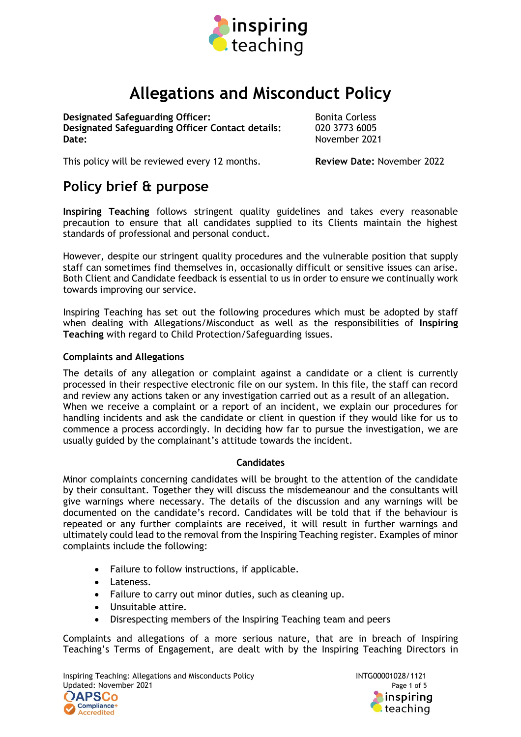

# **Allegations and Misconduct Policy**

**Designated Safeguarding Officer:** Bonita Corless **Designated Safeguarding Officer Contact details:** 020 3773 6005 Date: November 2021

This policy will be reviewed every 12 months. **Review Date:** November 2022

## **Policy brief & purpose**

**Inspiring Teaching** follows stringent quality guidelines and takes every reasonable precaution to ensure that all candidates supplied to its Clients maintain the highest standards of professional and personal conduct.

However, despite our stringent quality procedures and the vulnerable position that supply staff can sometimes find themselves in, occasionally difficult or sensitive issues can arise. Both Client and Candidate feedback is essential to us in order to ensure we continually work towards improving our service.

Inspiring Teaching has set out the following procedures which must be adopted by staff when dealing with Allegations/Misconduct as well as the responsibilities of **Inspiring Teaching** with regard to Child Protection/Safeguarding issues.

#### **Complaints and Allegations**

The details of any allegation or complaint against a candidate or a client is currently processed in their respective electronic file on our system. In this file, the staff can record and review any actions taken or any investigation carried out as a result of an allegation. When we receive a complaint or a report of an incident, we explain our procedures for handling incidents and ask the candidate or client in question if they would like for us to commence a process accordingly. In deciding how far to pursue the investigation, we are usually guided by the complainant's attitude towards the incident.

#### **Candidates**

Minor complaints concerning candidates will be brought to the attention of the candidate by their consultant. Together they will discuss the misdemeanour and the consultants will give warnings where necessary. The details of the discussion and any warnings will be documented on the candidate's record. Candidates will be told that if the behaviour is repeated or any further complaints are received, it will result in further warnings and ultimately could lead to the removal from the Inspiring Teaching register. Examples of minor complaints include the following:

- Failure to follow instructions, if applicable.
- Lateness.
- Failure to carry out minor duties, such as cleaning up.
- Unsuitable attire.
- Disrespecting members of the Inspiring Teaching team and peers

Complaints and allegations of a more serious nature, that are in breach of Inspiring Teaching's Terms of Engagement, are dealt with by the Inspiring Teaching Directors in

Inspiring Teaching: Allegations and Misconducts Policy **INTG00001028/1121** Updated: November 2021 **Page 1 of 5** Page 1 of 5



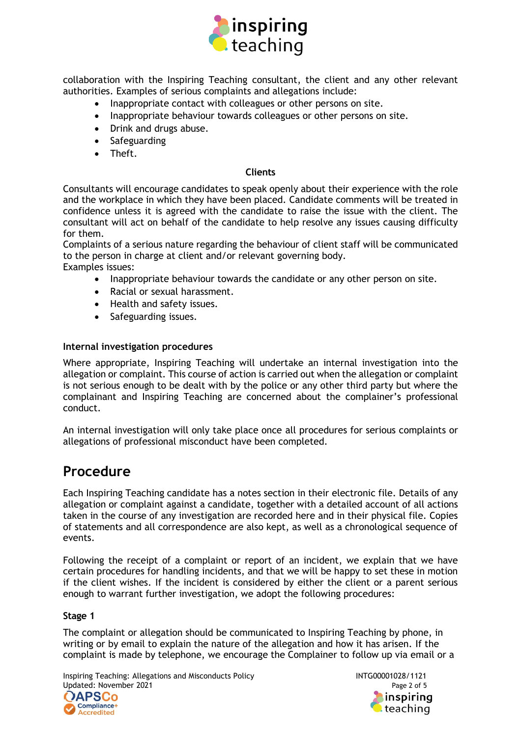

collaboration with the Inspiring Teaching consultant, the client and any other relevant authorities. Examples of serious complaints and allegations include:

- Inappropriate contact with colleagues or other persons on site.
- Inappropriate behaviour towards colleagues or other persons on site.
- Drink and drugs abuse.
- Safeguarding
- Theft.

#### **Clients**

Consultants will encourage candidates to speak openly about their experience with the role and the workplace in which they have been placed. Candidate comments will be treated in confidence unless it is agreed with the candidate to raise the issue with the client. The consultant will act on behalf of the candidate to help resolve any issues causing difficulty for them.

Complaints of a serious nature regarding the behaviour of client staff will be communicated to the person in charge at client and/or relevant governing body.

Examples issues:

- Inappropriate behaviour towards the candidate or any other person on site.
- Racial or sexual harassment.
- Health and safety issues.
- Safeguarding issues.

#### **Internal investigation procedures**

Where appropriate, Inspiring Teaching will undertake an internal investigation into the allegation or complaint. This course of action is carried out when the allegation or complaint is not serious enough to be dealt with by the police or any other third party but where the complainant and Inspiring Teaching are concerned about the complainer's professional conduct.

An internal investigation will only take place once all procedures for serious complaints or allegations of professional misconduct have been completed.

### **Procedure**

Each Inspiring Teaching candidate has a notes section in their electronic file. Details of any allegation or complaint against a candidate, together with a detailed account of all actions taken in the course of any investigation are recorded here and in their physical file. Copies of statements and all correspondence are also kept, as well as a chronological sequence of events.

Following the receipt of a complaint or report of an incident, we explain that we have certain procedures for handling incidents, and that we will be happy to set these in motion if the client wishes. If the incident is considered by either the client or a parent serious enough to warrant further investigation, we adopt the following procedures:

#### **Stage 1**

The complaint or allegation should be communicated to Inspiring Teaching by phone, in writing or by email to explain the nature of the allegation and how it has arisen. If the complaint is made by telephone, we encourage the Complainer to follow up via email or a

Inspiring Teaching: Allegations and Misconducts Policy **INTG00001028/1121** Updated: November 2021 **Page 2 of 5** Page 2 of 5

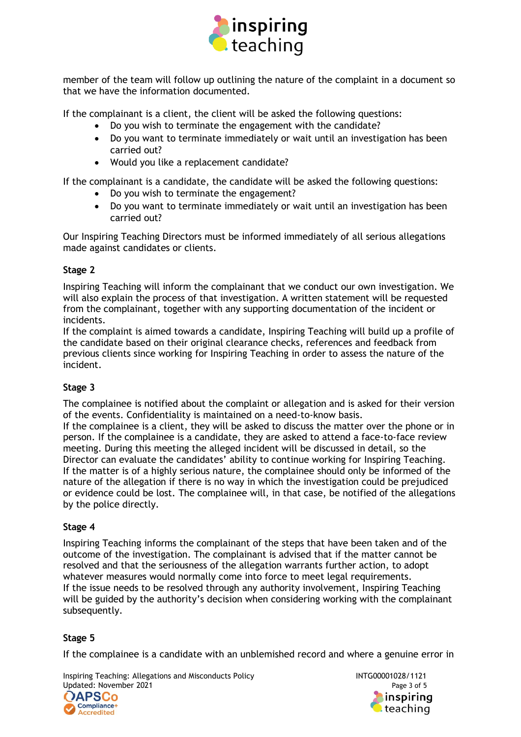

member of the team will follow up outlining the nature of the complaint in a document so that we have the information documented.

If the complainant is a client, the client will be asked the following questions:

- Do you wish to terminate the engagement with the candidate?
- Do you want to terminate immediately or wait until an investigation has been carried out?
- Would you like a replacement candidate?

If the complainant is a candidate, the candidate will be asked the following questions:

- Do you wish to terminate the engagement?
- Do you want to terminate immediately or wait until an investigation has been carried out?

Our Inspiring Teaching Directors must be informed immediately of all serious allegations made against candidates or clients.

#### **Stage 2**

Inspiring Teaching will inform the complainant that we conduct our own investigation. We will also explain the process of that investigation. A written statement will be requested from the complainant, together with any supporting documentation of the incident or incidents.

If the complaint is aimed towards a candidate, Inspiring Teaching will build up a profile of the candidate based on their original clearance checks, references and feedback from previous clients since working for Inspiring Teaching in order to assess the nature of the incident.

#### **Stage 3**

The complainee is notified about the complaint or allegation and is asked for their version of the events. Confidentiality is maintained on a need-to-know basis.

If the complainee is a client, they will be asked to discuss the matter over the phone or in person. If the complainee is a candidate, they are asked to attend a face-to-face review meeting. During this meeting the alleged incident will be discussed in detail, so the Director can evaluate the candidates' ability to continue working for Inspiring Teaching. If the matter is of a highly serious nature, the complainee should only be informed of the nature of the allegation if there is no way in which the investigation could be prejudiced or evidence could be lost. The complainee will, in that case, be notified of the allegations by the police directly.

#### **Stage 4**

Inspiring Teaching informs the complainant of the steps that have been taken and of the outcome of the investigation. The complainant is advised that if the matter cannot be resolved and that the seriousness of the allegation warrants further action, to adopt whatever measures would normally come into force to meet legal requirements. If the issue needs to be resolved through any authority involvement, Inspiring Teaching will be guided by the authority's decision when considering working with the complainant subsequently.

#### **Stage 5**

If the complainee is a candidate with an unblemished record and where a genuine error in

Inspiring Teaching: Allegations and Misconducts Policy **INTG00001028/1121** Updated: November 2021 **Page 3 of 5** and 2021



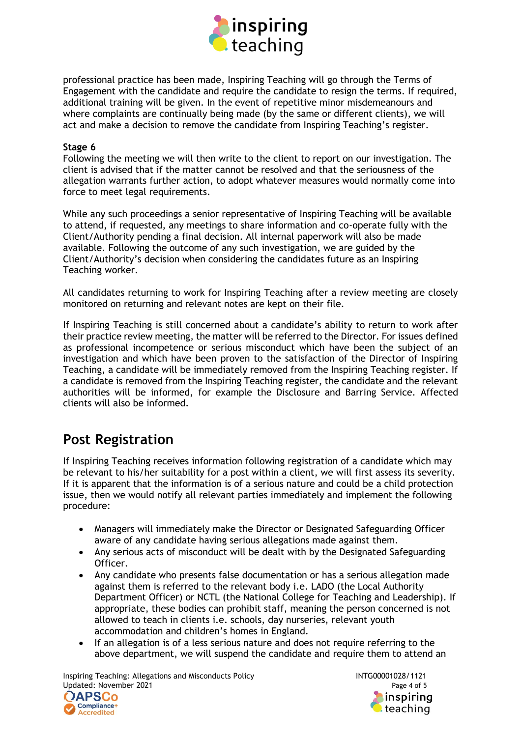

professional practice has been made, Inspiring Teaching will go through the Terms of Engagement with the candidate and require the candidate to resign the terms. If required, additional training will be given. In the event of repetitive minor misdemeanours and where complaints are continually being made (by the same or different clients), we will act and make a decision to remove the candidate from Inspiring Teaching's register.

#### **Stage 6**

Following the meeting we will then write to the client to report on our investigation. The client is advised that if the matter cannot be resolved and that the seriousness of the allegation warrants further action, to adopt whatever measures would normally come into force to meet legal requirements.

While any such proceedings a senior representative of Inspiring Teaching will be available to attend, if requested, any meetings to share information and co-operate fully with the Client/Authority pending a final decision. All internal paperwork will also be made available. Following the outcome of any such investigation, we are guided by the Client/Authority's decision when considering the candidates future as an Inspiring Teaching worker.

All candidates returning to work for Inspiring Teaching after a review meeting are closely monitored on returning and relevant notes are kept on their file.

If Inspiring Teaching is still concerned about a candidate's ability to return to work after their practice review meeting, the matter will be referred to the Director. For issues defined as professional incompetence or serious misconduct which have been the subject of an investigation and which have been proven to the satisfaction of the Director of Inspiring Teaching, a candidate will be immediately removed from the Inspiring Teaching register. If a candidate is removed from the Inspiring Teaching register, the candidate and the relevant authorities will be informed, for example the Disclosure and Barring Service. Affected clients will also be informed.

### **Post Registration**

If Inspiring Teaching receives information following registration of a candidate which may be relevant to his/her suitability for a post within a client, we will first assess its severity. If it is apparent that the information is of a serious nature and could be a child protection issue, then we would notify all relevant parties immediately and implement the following procedure:

- Managers will immediately make the Director or Designated Safeguarding Officer aware of any candidate having serious allegations made against them.
- Any serious acts of misconduct will be dealt with by the Designated Safeguarding Officer.
- Any candidate who presents false documentation or has a serious allegation made against them is referred to the relevant body i.e. LADO (the Local Authority Department Officer) or NCTL (the National College for Teaching and Leadership). If appropriate, these bodies can prohibit staff, meaning the person concerned is not allowed to teach in clients i.e. schools, day nurseries, relevant youth accommodation and children's homes in England.
- If an allegation is of a less serious nature and does not require referring to the above department, we will suspend the candidate and require them to attend an

Inspiring Teaching: Allegations and Misconducts Policy **INTG00001028/1121** Updated: November 2021 **Page 4 of 5**